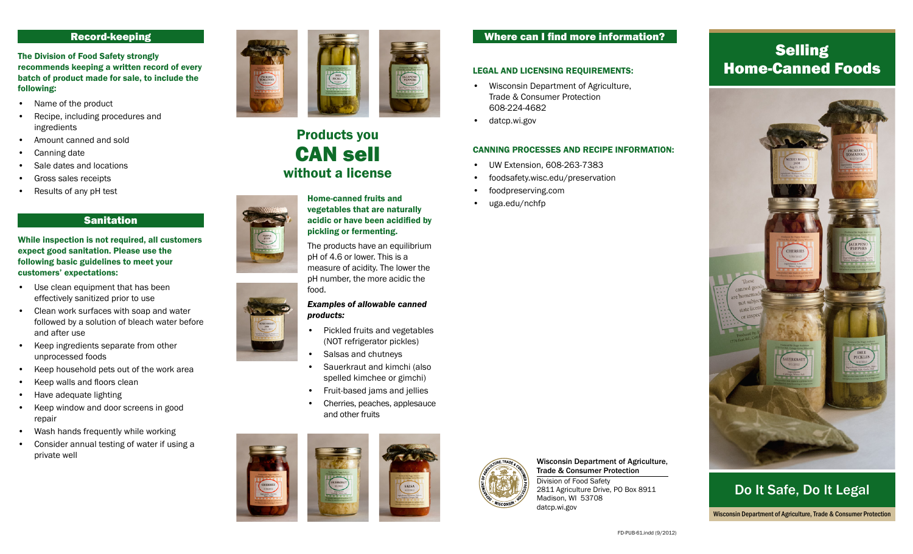# Record-keeping

The Division of Food Safety strongly recommends keeping a written record of every batch of product made for sale, to include the following:

- Name of the product
- Recipe, including procedures and ingredients
- • Amount canned and sold
- • Canning date
- • Sale dates and locations
- Gross sales receipts
- Results of any pH test

# Sanitation

#### While inspection is not required, all customers expect good sanitation. Please use the following basic guidelines to meet your customers' expectations:

- Use clean equipment that has been effectively sanitized prior to use
- • Clean work surfaces with soap and water followed by a solution of bleach water before and after use
- • Keep ingredients separate from other unprocessed foods
- Keep household pets out of the work area
- Keep walls and floors clean
- Have adequate lighting
- • Keep window and door screens in good repair
- Wash hands frequently while working
- • Consider annual testing of water if using a private well



# Products you can sell without a license



The products have an equilibrium pH of 4.6 or lower. This is a measure of acidity. The lower the pH number, the more acidic the food.

#### *Examples of allowable canned products:*

- • Pickled fruits and vegetables (NOT refrigerator pickles)
- Salsas and chutneys
- Sauerkraut and kimchi (also spelled kimchee or gimchi)
- Fruit-based jams and jellies
- Cherries, peaches, applesauce and other fruits



# Where can I find more information?

#### Legal and licensing requirements:

- • Wisconsin Department of Agriculture, Trade & Consumer Protection 608-224-4682
- datcp.wi.gov

#### Canning processes and recipe information:

- • UW Extension, 608-263-7383
- foodsafety.wisc.edu/preservation
- foodpreserving.com
- uga.edu/nchfp



Wisconsin Department of Agriculture, Trade & Consumer Protection

Division of Food Safety 2811 Agriculture Drive, PO Box 8911 Madison, WI 53708 datcp.wi.gov

# **Selling** Home-Canned Foods



Do It Safe, Do It Legal Wisconsin Department of Agriculture, Trade & Consumer Protection